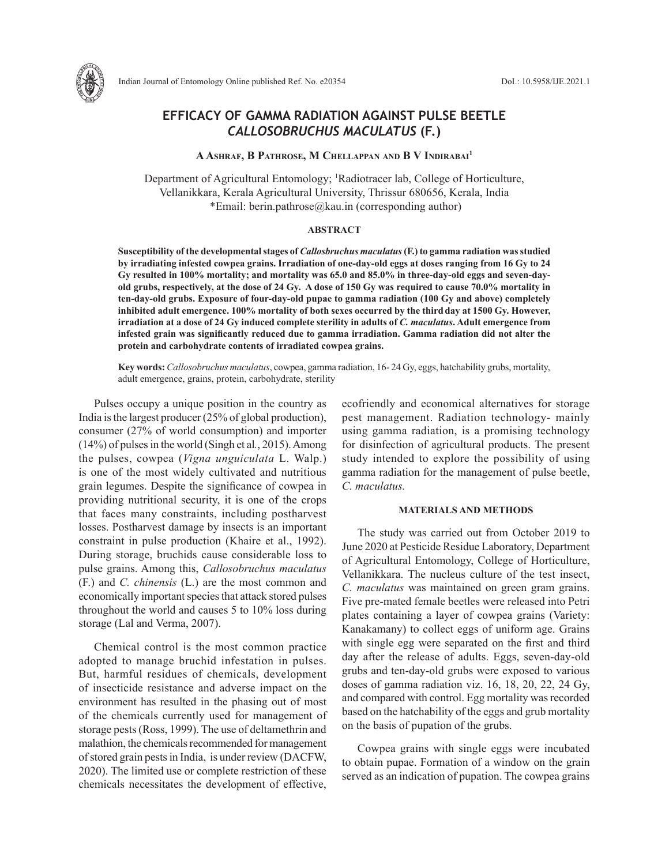

# **EFFICACY OF GAMMA RADIATION AGAINST PULSE BEETLE**  *CALLOSOBRUCHUS MACULATUS* **(F.)**

# **A Ashraf, B Pathrose, M Chellappan and B V Indirabai1**

Department of Agricultural Entomology; 1 Radiotracer lab, College of Horticulture, Vellanikkara, Kerala Agricultural University, Thrissur 680656, Kerala, India \*Email: berin.pathrose@kau.in (corresponding author)

## **ABSTRACT**

**Susceptibility of the developmental stages of** *Callosbruchus maculatus* **(F.) to gamma radiation was studied by irradiating infested cowpea grains. Irradiation of one-day-old eggs at doses ranging from 16 Gy to 24 Gy resulted in 100% mortality; and mortality was 65.0 and 85.0% in three-day-old eggs and seven-dayold grubs, respectively, at the dose of 24 Gy. A dose of 150 Gy was required to cause 70.0% mortality in ten-day-old grubs. Exposure of four-day-old pupae to gamma radiation (100 Gy and above) completely inhibited adult emergence. 100% mortality of both sexes occurred by the thirdday at 1500 Gy. However, irradiation at a dose of 24 Gy induced complete sterility in adults of** *C. maculatus***. Adult emergence from infested grain was significantly reduced due to gamma irradiation. Gamma radiation did not alter the protein and carbohydrate contents of irradiated cowpea grains.** 

**Key words:** *Callosobruchus maculatus*, cowpea, gamma radiation, 16- 24 Gy, eggs, hatchability grubs, mortality, adult emergence, grains, protein, carbohydrate, sterility

Pulses occupy a unique position in the country as India is the largest producer (25% of global production), consumer (27% of world consumption) and importer (14%) of pulses in the world (Singh et al*.*, 2015). Among the pulses, cowpea (*Vigna unguiculata* L. Walp.) is one of the most widely cultivated and nutritious grain legumes. Despite the significance of cowpea in providing nutritional security, it is one of the crops that faces many constraints, including postharvest losses. Postharvest damage by insects is an important constraint in pulse production (Khaire et al., 1992). During storage, bruchids cause considerable loss to pulse grains. Among this, *Callosobruchus maculatus* (F.) and *C. chinensis* (L.) are the most common and economically important species that attack stored pulses throughout the world and causes 5 to 10% loss during storage (Lal and Verma, 2007).

Chemical control is the most common practice adopted to manage bruchid infestation in pulses. But, harmful residues of chemicals, development of insecticide resistance and adverse impact on the environment has resulted in the phasing out of most of the chemicals currently used for management of storage pests (Ross, 1999). The use of deltamethrin and malathion, the chemicals recommended for management of stored grain pests in India, is under review (DACFW, 2020). The limited use or complete restriction of these chemicals necessitates the development of effective, ecofriendly and economical alternatives for storage pest management. Radiation technology- mainly using gamma radiation, is a promising technology for disinfection of agricultural products. The present study intended to explore the possibility of using gamma radiation for the management of pulse beetle, *C. maculatus.*

## **MATERIALS AND METHODS**

The study was carried out from October 2019 to June 2020 at Pesticide Residue Laboratory, Department of Agricultural Entomology, College of Horticulture, Vellanikkara. The nucleus culture of the test insect, *C. maculatus* was maintained on green gram grains. Five pre-mated female beetles were released into Petri plates containing a layer of cowpea grains (Variety: Kanakamany) to collect eggs of uniform age. Grains with single egg were separated on the first and third day after the release of adults. Eggs, seven-day-old grubs and ten-day-old grubs were exposed to various doses of gamma radiation viz. 16, 18, 20, 22, 24 Gy, and compared with control. Egg mortality was recorded based on the hatchability of the eggs and grub mortality on the basis of pupation of the grubs.

Cowpea grains with single eggs were incubated to obtain pupae. Formation of a window on the grain served as an indication of pupation. The cowpea grains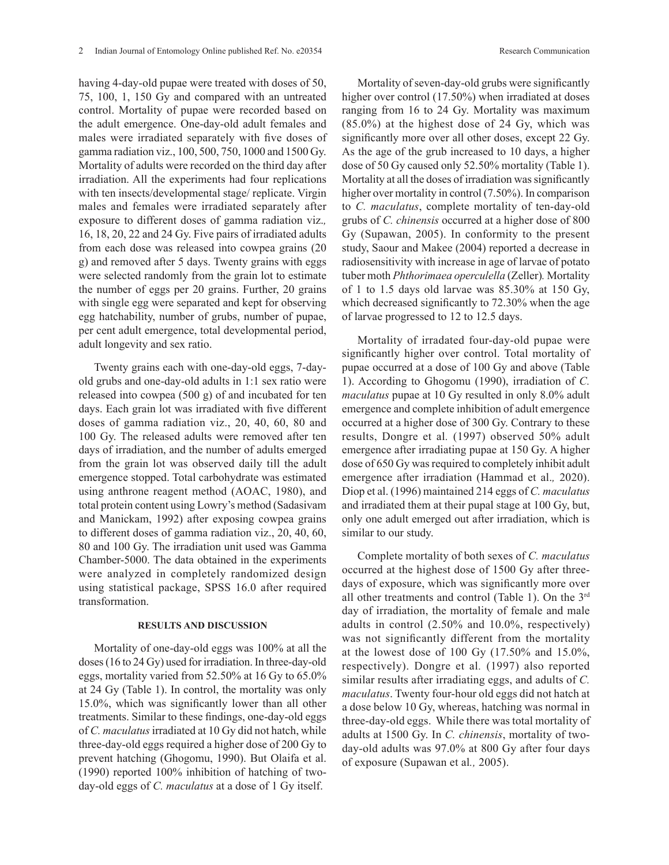having 4-day-old pupae were treated with doses of 50, 75, 100, 1, 150 Gy and compared with an untreated control. Mortality of pupae were recorded based on the adult emergence. One-day-old adult females and males were irradiated separately with five doses of gamma radiation viz., 100, 500, 750, 1000 and 1500 Gy. Mortality of adults were recorded on the third day after irradiation. All the experiments had four replications with ten insects/developmental stage/ replicate. Virgin males and females were irradiated separately after exposure to different doses of gamma radiation viz.*,* 16, 18, 20, 22 and 24 Gy. Five pairs of irradiated adults from each dose was released into cowpea grains (20 g) and removed after 5 days. Twenty grains with eggs were selected randomly from the grain lot to estimate the number of eggs per 20 grains. Further, 20 grains with single egg were separated and kept for observing egg hatchability, number of grubs, number of pupae, per cent adult emergence, total developmental period, adult longevity and sex ratio.

Twenty grains each with one-day-old eggs, 7-dayold grubs and one-day-old adults in 1:1 sex ratio were released into cowpea (500 g) of and incubated for ten days. Each grain lot was irradiated with five different doses of gamma radiation viz., 20, 40, 60, 80 and 100 Gy. The released adults were removed after ten days of irradiation, and the number of adults emerged from the grain lot was observed daily till the adult emergence stopped. Total carbohydrate was estimated using anthrone reagent method (AOAC, 1980), and total protein content using Lowry's method (Sadasivam and Manickam, 1992) after exposing cowpea grains to different doses of gamma radiation viz., 20, 40, 60, 80 and 100 Gy. The irradiation unit used was Gamma Chamber-5000. The data obtained in the experiments were analyzed in completely randomized design using statistical package, SPSS 16.0 after required transformation.

# **RESULTS AND DISCUSSION**

Mortality of one-day-old eggs was 100% at all the doses (16 to 24 Gy) used for irradiation. In three-day-old eggs, mortality varied from 52.50% at 16 Gy to 65.0% at 24 Gy (Table 1). In control, the mortality was only 15.0%, which was significantly lower than all other treatments. Similar to these findings, one-day-old eggs of *C. maculatus* irradiated at 10 Gy did not hatch, while three-day-old eggs required a higher dose of 200 Gy to prevent hatching (Ghogomu, 1990). But Olaifa et al. (1990) reported 100% inhibition of hatching of twoday-old eggs of *C. maculatus* at a dose of 1 Gy itself.

Mortality of seven-day-old grubs were significantly higher over control (17.50%) when irradiated at doses ranging from 16 to 24 Gy. Mortality was maximum (85.0%) at the highest dose of 24 Gy, which was significantly more over all other doses, except 22 Gy. As the age of the grub increased to 10 days, a higher dose of 50 Gy caused only 52.50% mortality (Table 1). Mortality at all the doses of irradiation was significantly higher over mortality in control (7.50%). In comparison to *C. maculatus*, complete mortality of ten-day-old grubs of *C. chinensis* occurred at a higher dose of 800 Gy (Supawan, 2005). In conformity to the present study, Saour and Makee (2004) reported a decrease in radiosensitivity with increase in age of larvae of potato tuber moth *Phthorimaea operculella* (Zeller)*.* Mortality of 1 to 1.5 days old larvae was  $85.30\%$  at 150 Gy, which decreased significantly to 72.30% when the age of larvae progressed to 12 to 12.5 days.

Mortality of irradated four-day-old pupae were significantly higher over control. Total mortality of pupae occurred at a dose of 100 Gy and above (Table 1). According to Ghogomu (1990), irradiation of *C. maculatus* pupae at 10 Gy resulted in only 8.0% adult emergence and complete inhibition of adult emergence occurred at a higher dose of 300 Gy. Contrary to these results, Dongre et al*.* (1997) observed 50% adult emergence after irradiating pupae at 150 Gy. A higher dose of 650 Gy was required to completely inhibit adult emergence after irradiation (Hammad et al.*,* 2020). Diop et al. (1996) maintained 214 eggs of *C. maculatus* and irradiated them at their pupal stage at 100 Gy, but, only one adult emerged out after irradiation, which is similar to our study.

Complete mortality of both sexes of *C. maculatus*  occurred at the highest dose of 1500 Gy after threedays of exposure, which was significantly more over all other treatments and control (Table 1). On the 3rd day of irradiation, the mortality of female and male adults in control (2.50% and 10.0%, respectively) was not significantly different from the mortality at the lowest dose of 100 Gy (17.50% and 15.0%, respectively). Dongre et al*.* (1997) also reported similar results after irradiating eggs, and adults of *C. maculatus*. Twenty four-hour old eggs did not hatch at a dose below 10 Gy, whereas, hatching was normal in three-day-old eggs. While there was total mortality of adults at 1500 Gy. In *C. chinensis*, mortality of twoday-old adults was 97.0% at 800 Gy after four days of exposure (Supawan et al*.,* 2005).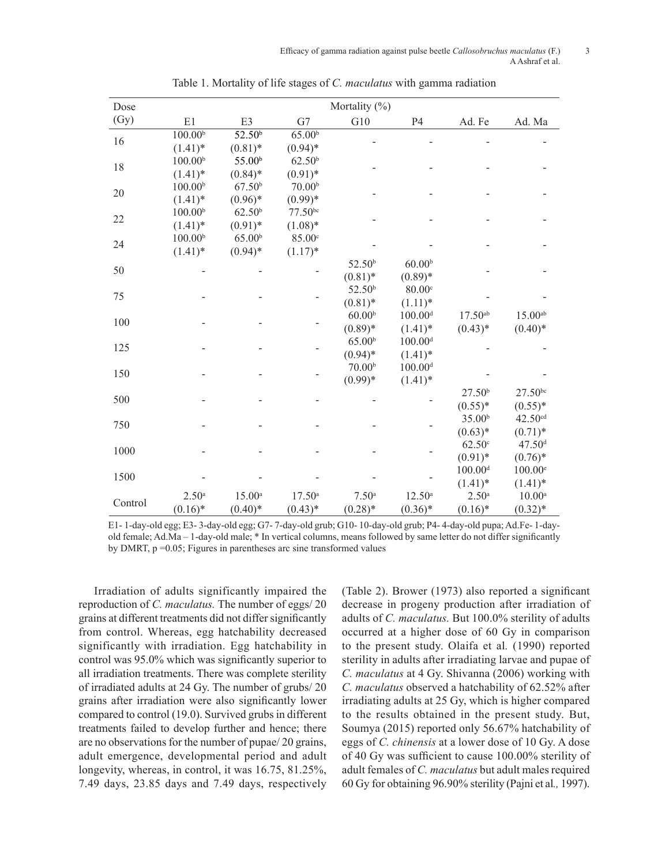#### Efficacy of gamma radiation against pulse beetle *Callosobruchus maculatus* (F.) 3 A Ashraf et al.

| Dose        | Mortality $(\%)$    |                      |                    |                    |                       |                    |                    |  |  |  |  |
|-------------|---------------------|----------------------|--------------------|--------------------|-----------------------|--------------------|--------------------|--|--|--|--|
| (Gy)        | E1                  | E3                   | G7                 | G10                | P4                    | Ad. Fe             | Ad. Ma             |  |  |  |  |
| 16          | 100.00 <sup>b</sup> | $\overline{52.50^b}$ | $65.00^{b}$        |                    |                       |                    |                    |  |  |  |  |
|             | $(1.41)^*$          | $(0.81)$ *           | $(0.94)$ *         |                    |                       |                    |                    |  |  |  |  |
| 18          | 100.00 <sup>b</sup> | 55.00 <sup>b</sup>   | 62.50 <sup>b</sup> |                    |                       |                    |                    |  |  |  |  |
|             | $(1.41)^*$          | $(0.84)$ *           | $(0.91)$ *         |                    |                       |                    |                    |  |  |  |  |
| 20          | $100.00^{b}$        | 67.50 <sup>b</sup>   | 70.00 <sup>b</sup> |                    |                       |                    |                    |  |  |  |  |
|             | $(1.41)$ *          | $(0.96)*$            | $(0.99)*$          |                    |                       |                    |                    |  |  |  |  |
| 22          | 100.00 <sup>b</sup> | 62.50 <sup>b</sup>   | $77.50^{bc}$       |                    |                       |                    |                    |  |  |  |  |
|             | $(1.41)$ *          | $(0.91)$ *           | $(1.08)*$          |                    |                       |                    |                    |  |  |  |  |
| 24          | 100.00 <sup>b</sup> | 65.00 <sup>b</sup>   | 85.00°             |                    |                       |                    |                    |  |  |  |  |
|             | $(1.41)$ *          | $(0.94)$ *           | $(1.17)^*$         |                    |                       |                    |                    |  |  |  |  |
| 50          |                     |                      |                    | 52.50 <sup>b</sup> | 60.00 <sup>b</sup>    |                    |                    |  |  |  |  |
|             |                     |                      |                    | $(0.81)$ *         | $(0.89)*$             |                    |                    |  |  |  |  |
| 75          |                     |                      |                    | 52.50 <sup>b</sup> | 80.00c                |                    |                    |  |  |  |  |
|             |                     |                      |                    | $(0.81)$ *         | $(1.11)^*$            |                    |                    |  |  |  |  |
| 100         |                     |                      |                    | 60.00 <sup>b</sup> | $100.00$ <sup>d</sup> | $17.50^{ab}$       | $15.00^{ab}$       |  |  |  |  |
|             |                     |                      |                    | $(0.89)*$          | $(1.41)$ *            | $(0.43)*$          | $(0.40)*$          |  |  |  |  |
| 125         |                     |                      |                    | 65.00 <sup>b</sup> | $100.00^{\rm d}$      |                    |                    |  |  |  |  |
|             |                     |                      |                    | $(0.94)$ *         | $(1.41)$ *            |                    |                    |  |  |  |  |
| 150         |                     |                      |                    | 70.00 <sup>b</sup> | $100.00$ <sup>d</sup> |                    |                    |  |  |  |  |
|             |                     |                      |                    | $(0.99)*$          | $(1.41)$ *            |                    |                    |  |  |  |  |
| 500         |                     |                      |                    |                    |                       | 27.50 <sup>b</sup> | $27.50^{bc}$       |  |  |  |  |
|             |                     |                      |                    |                    |                       | $(0.55)*$          | $(0.55)*$          |  |  |  |  |
| 750<br>1000 |                     |                      |                    |                    |                       | 35.00 <sup>b</sup> | 42.50cd            |  |  |  |  |
|             |                     |                      |                    |                    |                       | $(0.63)*$          | $(0.71)$ *         |  |  |  |  |
|             |                     |                      |                    |                    |                       | 62.50c             | 47.50 <sup>d</sup> |  |  |  |  |
|             |                     |                      |                    |                    |                       | $(0.91)$ *         | $(0.76)*$          |  |  |  |  |
| 1500        |                     |                      |                    |                    |                       | $100.00^{\rm d}$   | $100.00^{\rm e}$   |  |  |  |  |
|             |                     |                      |                    |                    |                       | $(1.41)$ *         | $(1.41)^*$         |  |  |  |  |
| Control     | 2.50 <sup>a</sup>   | $15.00^{\rm a}$      | $17.50^{\circ}$    | 7.50 <sup>a</sup>  | $12.50^{\circ}$       | 2.50 <sup>a</sup>  | $10.00^{\rm a}$    |  |  |  |  |
|             | $(0.16)$ *          | $(0.40)$ *           | $(0.43)*$          | $(0.28)$ *         | $(0.36)^*$            | $(0.16)^*$         | $(0.32)*$          |  |  |  |  |

Table 1. Mortality of life stages of *C. maculatus* with gamma radiation

E1- 1-day-old egg; E3- 3-day-old egg; G7- 7-day-old grub; G10- 10-day-old grub; P4- 4-day-old pupa; Ad.Fe- 1-dayold female; Ad.Ma – 1-day-old male; \* In vertical columns, means followed by same letter do not differ significantly by DMRT, p =0.05; Figures in parentheses arc sine transformed values

Irradiation of adults significantly impaired the reproduction of *C. maculatus.* The number of eggs/ 20 grains at different treatments did not differ significantly from control. Whereas, egg hatchability decreased significantly with irradiation. Egg hatchability in control was 95.0% which was significantly superior to all irradiation treatments. There was complete sterility of irradiated adults at 24 Gy. The number of grubs/ 20 grains after irradiation were also significantly lower compared to control (19.0). Survived grubs in different treatments failed to develop further and hence; there are no observations for the number of pupae/ 20 grains, adult emergence, developmental period and adult longevity, whereas, in control, it was 16.75, 81.25%, 7.49 days, 23.85 days and 7.49 days, respectively (Table 2). Brower (1973) also reported a significant decrease in progeny production after irradiation of adults of *C. maculatus.* But 100.0% sterility of adults occurred at a higher dose of 60 Gy in comparison to the present study. Olaifa et al*.* (1990) reported sterility in adults after irradiating larvae and pupae of *C. maculatus* at 4 Gy. Shivanna (2006) working with *C. maculatus* observed a hatchability of 62.52% after irradiating adults at 25 Gy, which is higher compared to the results obtained in the present study. But, Soumya (2015) reported only 56.67% hatchability of eggs of *C. chinensis* at a lower dose of 10 Gy. A dose of 40 Gy was sufficient to cause 100.00% sterility of adult females of *C. maculatus* but adult males required 60 Gy for obtaining 96.90% sterility (Pajni et al*.,* 1997).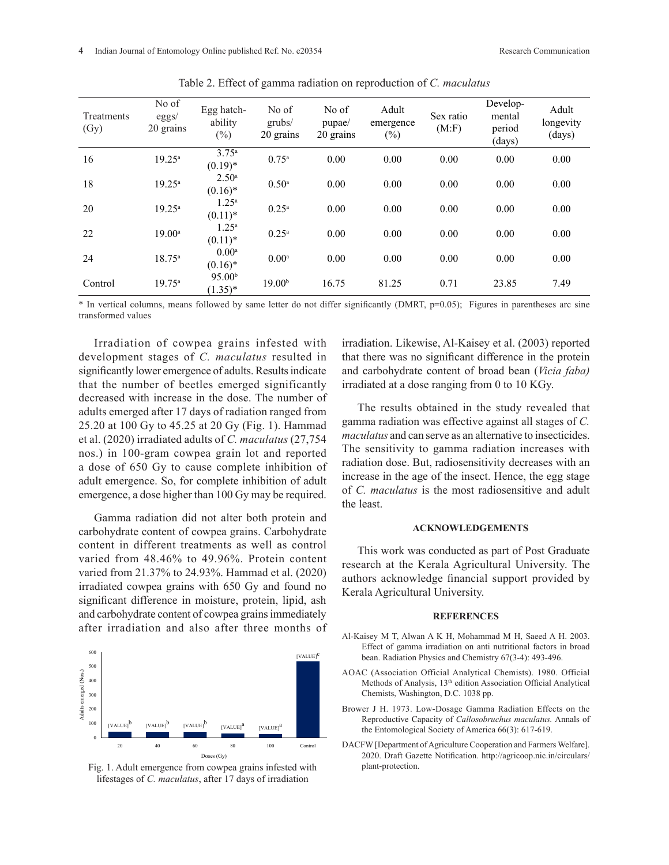| Treatments<br>(Gy) | No of<br>eggs/<br>20 grains | Egg hatch-<br>ability<br>$(\%)$  | No of<br>grubs/<br>20 grains | No of<br>pupae/<br>20 grains | Adult<br>emergence<br>$(\%)$ | Sex ratio<br>(M.F) | Develop-<br>mental<br>period<br>(days) | Adult<br>longevity<br>(days) |
|--------------------|-----------------------------|----------------------------------|------------------------------|------------------------------|------------------------------|--------------------|----------------------------------------|------------------------------|
| 16                 | $19.25^{\circ}$             | $3.75^{\circ}$<br>$(0.19)*$      | $0.75^{\rm a}$               | 0.00                         | 0.00                         | 0.00               | 0.00                                   | 0.00                         |
| 18                 | $19.25^{\circ}$             | 2.50 <sup>a</sup><br>$(0.16)^*$  | $0.50$ <sup>a</sup>          | 0.00                         | 0.00                         | 0.00               | 0.00                                   | 0.00                         |
| 20                 | $19.25^a$                   | $1.25^a$<br>$(0.11)^*$           | $0.25^{\rm a}$               | 0.00                         | 0.00                         | 0.00               | 0.00                                   | 0.00                         |
| 22                 | $19.00^{\circ}$             | $1.25^a$<br>$(0.11)^*$           | $0.25^{\rm a}$               | 0.00                         | 0.00                         | 0.00               | 0.00                                   | 0.00                         |
| 24                 | $18.75^a$                   | $0.00^{a}$<br>$(0.16)^*$         | 0.00 <sup>a</sup>            | 0.00                         | 0.00                         | 0.00               | 0.00                                   | 0.00                         |
| Control            | $19.75^{\circ}$             | 95.00 <sup>b</sup><br>$(1.35)^*$ | 19.00 <sup>b</sup>           | 16.75                        | 81.25                        | 0.71               | 23.85                                  | 7.49                         |

Table 2. Effect of gamma radiation on reproduction of *C. maculatus*

\* In vertical columns, means followed by same letter do not differ significantly (DMRT, p=0.05); Figures in parentheses arc sine transformed values

Irradiation of cowpea grains infested with development stages of *C. maculatus* resulted in significantly lower emergence of adults. Results indicate that the number of beetles emerged significantly decreased with increase in the dose. The number of adults emerged after 17 days of radiation ranged from 25.20 at 100 Gy to 45.25 at 20 Gy (Fig. 1). Hammad et al. (2020) irradiated adults of *C. maculatus* (27,754 nos.) in 100-gram cowpea grain lot and reported a dose of 650 Gy to cause complete inhibition of adult emergence. So, for complete inhibition of adult emergence, a dose higher than 100 Gy may be required.

Gamma radiation did not alter both protein and carbohydrate content of cowpea grains. Carbohydrate content in different treatments as well as control varied from  $48.46\%$  to  $49.96\%$ . Protein content rese varied from 21.37% to 24.93%. Hammad et al.  $(2020)$  auth irradiated cowpea grains with  $650 \text{ Gy}$  and found no Ker significant difference in moisture, protein, lipid, ash <sup>1984</sup><br>and exhabilitate content of course emine immediately and carbohydrate content of cowpea grains immediately after irradiation and also after three months of



Fig. 1. Adult emergence from cowpea grains infested with lifestages of *C. maculatus*, after 17 days of irradiation

irradiation. Likewise, Al-Kaisey et al. (2003) reported that there was no significant difference in the protein and carbohydrate content of broad bean (*Vicia faba)*  irradiated at a dose ranging from 0 to 10 KGy.

The results obtained in the study revealed that gamma radiation was effective against all stages of *C. maculatus* and can serve as an alternative to insecticides. The sensitivity to gamma radiation increases with radiation dose. But, radiosensitivity decreases with an increase in the age of the insect. Hence, the egg stage of *C. maculatus* is the most radiosensitive and adult the least.

### **ACKNOWLEDGEMENTS**

This work was conducted as part of Post Graduate research at the Kerala Agricultural University. The authors acknowledge financial support provided by Kerala Agricultural University.

#### **REFERENCES**

- Al-Kaisey M T, Alwan A K H, Mohammad M H, Saeed A H. 2003. Effect of gamma irradiation on anti nutritional factors in broad bean. Radiation Physics and Chemistry 67(3-4): 493-496.
- AOAC (Association Official Analytical Chemists). 1980. Official Methods of Analysis, 13<sup>th</sup> edition Association Official Analytical Chemists, Washington, D.C. 1038 pp.
- Brower J H. 1973. Low-Dosage Gamma Radiation Effects on the Reproductive Capacity of *Callosobruchus maculatus.* Annals of the Entomological Society of America 66(3): 617-619.
- DACFW [Department of Agriculture Cooperation and Farmers Welfare]. 2020. Draft Gazette Notification. http://agricoop.nic.in/circulars/ plant-protection.